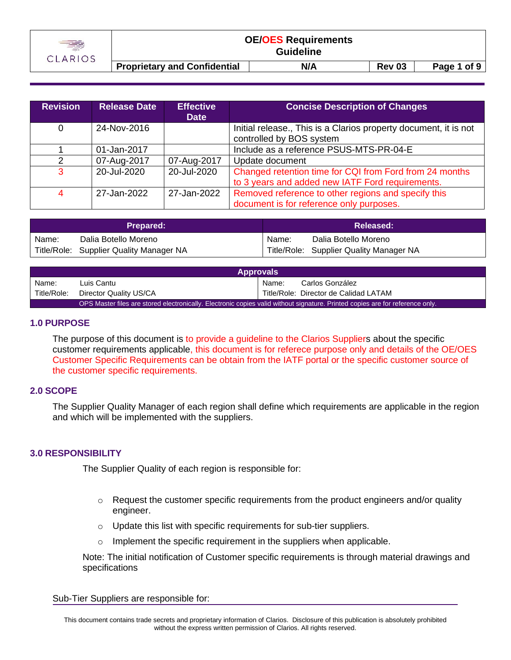

**Proprietary and Confidential N/A Rev 03 Page 1 of 9** 

| <b>Revision</b> | <b>Release Date</b> | <b>Effective</b><br><b>Date</b> | <b>Concise Description of Changes</b>                                                                       |
|-----------------|---------------------|---------------------------------|-------------------------------------------------------------------------------------------------------------|
| 0               | 24-Nov-2016         |                                 | Initial release., This is a Clarios property document, it is not<br>controlled by BOS system                |
|                 | 01-Jan-2017         |                                 | Include as a reference PSUS-MTS-PR-04-E                                                                     |
|                 | 07-Aug-2017         | 07-Aug-2017                     | Update document                                                                                             |
| 3               | 20-Jul-2020         | 20-Jul-2020                     | Changed retention time for CQI from Ford from 24 months<br>to 3 years and added new IATF Ford requirements. |
| 4               | 27-Jan-2022         | 27-Jan-2022                     | Removed reference to other regions and specify this<br>document is for reference only purposes.             |

| <b>Prepared:</b> |                                         | Released: |                                         |
|------------------|-----------------------------------------|-----------|-----------------------------------------|
| Name:            | Dalia Botello Moreno                    | Name:     | Dalia Botello Moreno                    |
|                  | Title/Role: Supplier Quality Manager NA |           | Title/Role: Supplier Quality Manager NA |

| <b>Approvals</b>                                                                                                              |                        |       |                                       |  |
|-------------------------------------------------------------------------------------------------------------------------------|------------------------|-------|---------------------------------------|--|
| Name:                                                                                                                         | Luis Cantu             | Name: | Carlos González                       |  |
| Title/Role:                                                                                                                   | Director Quality US/CA |       | Title/Role: Director de Calidad LATAM |  |
| OPS Master files are stored electronically. Electronic copies valid without signature. Printed copies are for reference only. |                        |       |                                       |  |

### **1.0 PURPOSE**

The purpose of this document is to provide a guideline to the Clarios Suppliers about the specific customer requirements applicable, this document is for referece purpose only and details of the OE/OES Customer Specific Requirements can be obtain from the IATF portal or the specific customer source of the customer specific requirements.

### **2.0 SCOPE**

The Supplier Quality Manager of each region shall define which requirements are applicable in the region and which will be implemented with the suppliers.

### **3.0 RESPONSIBILITY**

The Supplier Quality of each region is responsible for:

- $\circ$  Request the customer specific requirements from the product engineers and/or quality engineer.
- o Update this list with specific requirements for sub-tier suppliers.
- $\circ$  Implement the specific requirement in the suppliers when applicable.

Note: The initial notification of Customer specific requirements is through material drawings and specifications

Sub-Tier Suppliers are responsible for: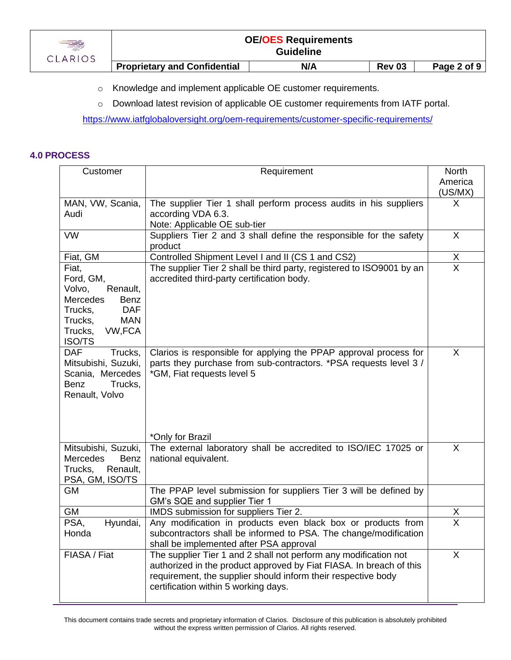| CLARIOS |                                     | <b>OE/OES Requirements</b><br><b>Guideline</b> |               |             |
|---------|-------------------------------------|------------------------------------------------|---------------|-------------|
|         | <b>Proprietary and Confidential</b> | N/A                                            | <b>Rev 03</b> | Page 2 of 9 |

- o Knowledge and implement applicable OE customer requirements.
- o Download latest revision of applicable OE customer requirements from IATF portal.

<https://www.iatfglobaloversight.org/oem-requirements/customer-specific-requirements/>

### **4.0 PROCESS**

| Customer<br>Requirement                        |                                                                                                             | <b>North</b>                    |
|------------------------------------------------|-------------------------------------------------------------------------------------------------------------|---------------------------------|
|                                                |                                                                                                             | America<br>(US/MX)              |
| MAN, VW, Scania,                               | The supplier Tier 1 shall perform process audits in his suppliers                                           | X                               |
| Audi                                           | according VDA 6.3.                                                                                          |                                 |
|                                                | Note: Applicable OE sub-tier                                                                                |                                 |
| <b>VW</b>                                      | Suppliers Tier 2 and 3 shall define the responsible for the safety<br>product                               | $\sf X$                         |
| Fiat, GM                                       | Controlled Shipment Level I and II (CS 1 and CS2)                                                           |                                 |
| Fiat,                                          | The supplier Tier 2 shall be third party, registered to ISO9001 by an                                       | $\frac{\mathsf{X}}{\mathsf{X}}$ |
| Ford, GM,                                      | accredited third-party certification body.                                                                  |                                 |
| Volvo,<br>Renault,                             |                                                                                                             |                                 |
| Mercedes<br>Benz                               |                                                                                                             |                                 |
| <b>DAF</b><br>Trucks,<br><b>MAN</b><br>Trucks, |                                                                                                             |                                 |
| VW, FCA<br>Trucks,                             |                                                                                                             |                                 |
| ISO/TS                                         |                                                                                                             |                                 |
| <b>DAF</b><br>Trucks,                          | Clarios is responsible for applying the PPAP approval process for                                           | X                               |
| Mitsubishi, Suzuki,                            | parts they purchase from sub-contractors. *PSA requests level 3 /                                           |                                 |
| Scania, Mercedes                               | *GM, Fiat requests level 5                                                                                  |                                 |
| Trucks,<br>Benz<br>Renault, Volvo              |                                                                                                             |                                 |
|                                                |                                                                                                             |                                 |
|                                                |                                                                                                             |                                 |
|                                                |                                                                                                             |                                 |
|                                                | *Only for Brazil                                                                                            |                                 |
| Mitsubishi, Suzuki,                            | The external laboratory shall be accredited to ISO/IEC 17025 or                                             | $\boldsymbol{\mathsf{X}}$       |
| Mercedes<br>Benz<br>Trucks,<br>Renault,        | national equivalent.                                                                                        |                                 |
| PSA, GM, ISO/TS                                |                                                                                                             |                                 |
| GM                                             | The PPAP level submission for suppliers Tier 3 will be defined by                                           |                                 |
|                                                | GM's SQE and supplier Tier 1                                                                                |                                 |
| GM                                             | IMDS submission for suppliers Tier 2.                                                                       | $\frac{\mathsf{X}}{\mathsf{X}}$ |
| PSA,<br>Hyundai,                               | Any modification in products even black box or products from                                                |                                 |
| Honda                                          | subcontractors shall be informed to PSA. The change/modification                                            |                                 |
| FIASA / Fiat                                   | shall be implemented after PSA approval<br>The supplier Tier 1 and 2 shall not perform any modification not | X                               |
|                                                | authorized in the product approved by Fiat FIASA. In breach of this                                         |                                 |
|                                                | requirement, the supplier should inform their respective body                                               |                                 |
|                                                | certification within 5 working days.                                                                        |                                 |
|                                                |                                                                                                             |                                 |

This document contains trade secrets and proprietary information of Clarios. Disclosure of this publication is absolutely prohibited without the express written permission of Clarios. All rights reserved.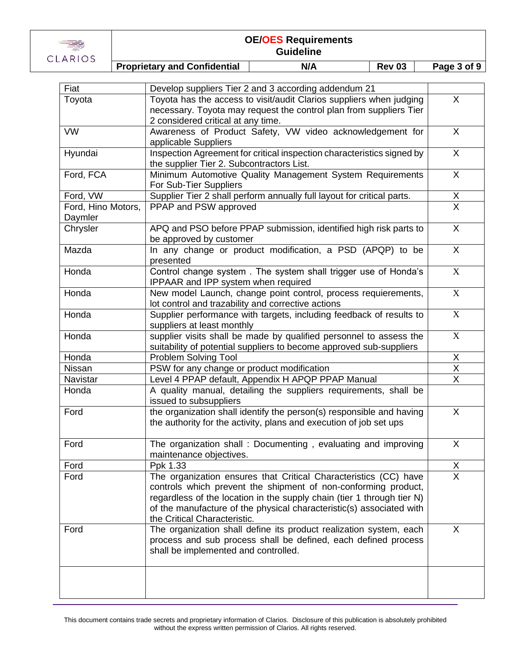

| ANIVJ                         |  | <b>Proprietary and Confidential</b>                              | N/A                                                                                                                                       | <b>Rev 03</b> | Page 3 of 9                     |
|-------------------------------|--|------------------------------------------------------------------|-------------------------------------------------------------------------------------------------------------------------------------------|---------------|---------------------------------|
|                               |  |                                                                  |                                                                                                                                           |               |                                 |
| Fiat                          |  |                                                                  | Develop suppliers Tier 2 and 3 according addendum 21                                                                                      |               | $\mathsf{X}$                    |
| Toyota                        |  |                                                                  | Toyota has the access to visit/audit Clarios suppliers when judging<br>necessary. Toyota may request the control plan from suppliers Tier |               |                                 |
|                               |  | 2 considered critical at any time.                               |                                                                                                                                           |               |                                 |
| <b>VW</b>                     |  |                                                                  | Awareness of Product Safety, VW video acknowledgement for                                                                                 |               | X                               |
|                               |  | applicable Suppliers                                             |                                                                                                                                           |               |                                 |
| Hyundai                       |  |                                                                  | Inspection Agreement for critical inspection characteristics signed by                                                                    |               | X                               |
|                               |  | the supplier Tier 2. Subcontractors List.                        |                                                                                                                                           |               |                                 |
| Ford, FCA                     |  |                                                                  | Minimum Automotive Quality Management System Requirements                                                                                 |               | $\mathsf{X}$                    |
|                               |  | For Sub-Tier Suppliers                                           |                                                                                                                                           |               |                                 |
| Ford, VW                      |  | PPAP and PSW approved                                            | Supplier Tier 2 shall perform annually full layout for critical parts.                                                                    |               | $\frac{X}{X}$                   |
| Ford, Hino Motors,<br>Daymler |  |                                                                  |                                                                                                                                           |               |                                 |
| Chrysler                      |  |                                                                  | APQ and PSO before PPAP submission, identified high risk parts to                                                                         |               | $\mathsf{X}$                    |
|                               |  | be approved by customer                                          |                                                                                                                                           |               |                                 |
| Mazda                         |  |                                                                  | In any change or product modification, a PSD (APQP) to be                                                                                 |               | X                               |
|                               |  | presented                                                        |                                                                                                                                           |               |                                 |
| Honda                         |  |                                                                  | Control change system. The system shall trigger use of Honda's                                                                            |               | X                               |
|                               |  | IPPAAR and IPP system when required                              |                                                                                                                                           |               |                                 |
| Honda                         |  |                                                                  | New model Launch, change point control, process requierements,                                                                            |               | $\mathbf X$                     |
|                               |  | lot control and trazability and corrective actions               |                                                                                                                                           |               | $\mathbf X$                     |
| Honda                         |  | suppliers at least monthly                                       | Supplier performance with targets, including feedback of results to                                                                       |               |                                 |
| Honda                         |  |                                                                  | supplier visits shall be made by qualified personnel to assess the                                                                        |               | X                               |
|                               |  |                                                                  | suitability of potential suppliers to become approved sub-suppliers                                                                       |               |                                 |
| Honda                         |  | Problem Solving Tool                                             |                                                                                                                                           |               | X                               |
| Nissan                        |  | PSW for any change or product modification                       |                                                                                                                                           |               | X                               |
| Navistar                      |  |                                                                  | Level 4 PPAP default, Appendix H APQP PPAP Manual                                                                                         |               | X                               |
| Honda                         |  | A quality manual, detailing the suppliers requirements, shall be |                                                                                                                                           |               |                                 |
|                               |  | issued to subsuppliers                                           |                                                                                                                                           |               |                                 |
| Ford                          |  |                                                                  | the organization shall identify the person(s) responsible and having                                                                      |               | X                               |
|                               |  |                                                                  | the authority for the activity, plans and execution of job set ups                                                                        |               |                                 |
| Ford                          |  |                                                                  | The organization shall: Documenting, evaluating and improving                                                                             |               | X                               |
|                               |  | maintenance objectives.                                          |                                                                                                                                           |               |                                 |
| Ford                          |  | Ppk 1.33                                                         |                                                                                                                                           |               | $\frac{\mathsf{X}}{\mathsf{X}}$ |
| Ford                          |  |                                                                  | The organization ensures that Critical Characteristics (CC) have                                                                          |               |                                 |
|                               |  |                                                                  | controls which prevent the shipment of non-conforming product,                                                                            |               |                                 |
|                               |  |                                                                  | regardless of the location in the supply chain (tier 1 through tier N)                                                                    |               |                                 |
|                               |  |                                                                  | of the manufacture of the physical characteristic(s) associated with                                                                      |               |                                 |
| Ford                          |  | the Critical Characteristic.                                     | The organization shall define its product realization system, each                                                                        |               | X                               |
|                               |  |                                                                  | process and sub process shall be defined, each defined process                                                                            |               |                                 |
|                               |  | shall be implemented and controlled.                             |                                                                                                                                           |               |                                 |
|                               |  |                                                                  |                                                                                                                                           |               |                                 |
|                               |  |                                                                  |                                                                                                                                           |               |                                 |
|                               |  |                                                                  |                                                                                                                                           |               |                                 |
|                               |  |                                                                  |                                                                                                                                           |               |                                 |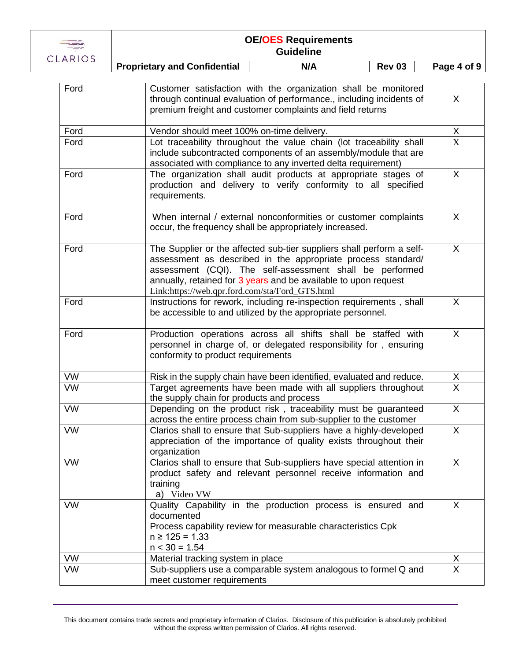

| AND J     | <b>Proprietary and Confidential</b><br>N/A<br><b>Rev 03</b>                                                                                                                                                                                                                                                             | Page 4 of 9    |
|-----------|-------------------------------------------------------------------------------------------------------------------------------------------------------------------------------------------------------------------------------------------------------------------------------------------------------------------------|----------------|
|           |                                                                                                                                                                                                                                                                                                                         |                |
| Ford      | Customer satisfaction with the organization shall be monitored<br>through continual evaluation of performance., including incidents of<br>premium freight and customer complaints and field returns                                                                                                                     | X              |
| Ford      | Vendor should meet 100% on-time delivery.                                                                                                                                                                                                                                                                               | $\frac{X}{X}$  |
| Ford      | Lot traceability throughout the value chain (lot traceability shall<br>include subcontracted components of an assembly/module that are<br>associated with compliance to any inverted delta requirement)                                                                                                                 |                |
| Ford      | The organization shall audit products at appropriate stages of<br>production and delivery to verify conformity to all specified<br>requirements.                                                                                                                                                                        | X              |
| Ford      | When internal / external nonconformities or customer complaints<br>occur, the frequency shall be appropriately increased.                                                                                                                                                                                               | X              |
| Ford      | The Supplier or the affected sub-tier suppliers shall perform a self-<br>assessment as described in the appropriate process standard/<br>assessment (CQI). The self-assessment shall be performed<br>annually, retained for 3 years and be available to upon request<br>Link:https://web.qpr.ford.com/sta/Ford_GTS.html | X              |
| Ford      | Instructions for rework, including re-inspection requirements, shall<br>be accessible to and utilized by the appropriate personnel.                                                                                                                                                                                     | X              |
| Ford      | Production operations across all shifts shall be staffed with<br>personnel in charge of, or delegated responsibility for, ensuring<br>conformity to product requirements                                                                                                                                                | X              |
| <b>VW</b> | Risk in the supply chain have been identified, evaluated and reduce.                                                                                                                                                                                                                                                    |                |
| <b>VW</b> | Target agreements have been made with all suppliers throughout<br>the supply chain for products and process                                                                                                                                                                                                             | $\frac{X}{X}$  |
| <b>VW</b> | Depending on the product risk, traceability must be guaranteed<br>across the entire process chain from sub-supplier to the customer                                                                                                                                                                                     | X              |
| <b>VW</b> | Clarios shall to ensure that Sub-suppliers have a highly-developed<br>appreciation of the importance of quality exists throughout their<br>organization                                                                                                                                                                 | X              |
| <b>VW</b> | Clarios shall to ensure that Sub-suppliers have special attention in<br>product safety and relevant personnel receive information and<br>training<br>a) Video VW                                                                                                                                                        | X              |
| <b>VW</b> | Quality Capability in the production process is ensured and<br>documented<br>Process capability review for measurable characteristics Cpk<br>$n \ge 125 = 1.33$<br>$n < 30 = 1.54$                                                                                                                                      | X              |
| <b>VW</b> | Material tracking system in place                                                                                                                                                                                                                                                                                       | X              |
| <b>VW</b> | Sub-suppliers use a comparable system analogous to formel Q and<br>meet customer requirements                                                                                                                                                                                                                           | $\overline{X}$ |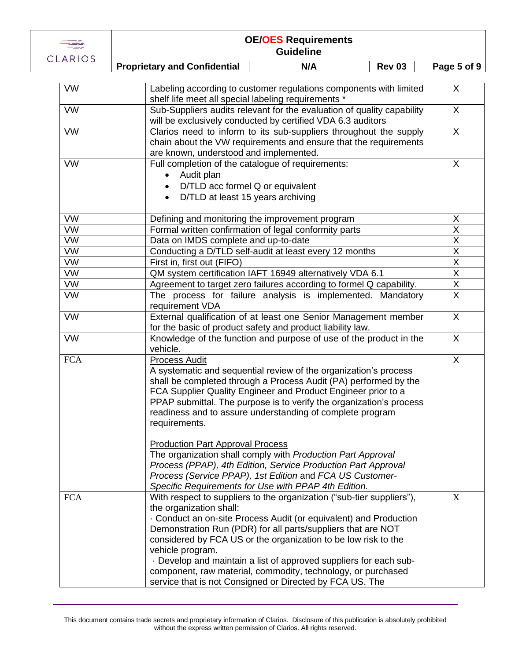

|            | <b>Proprietary and Confidential</b><br>N/A<br><b>Rev 03</b>                                                                                                                                                                                                                                                                                                                                                                                                                                                                                                                                                                                                                       | Page 5 of 9                         |
|------------|-----------------------------------------------------------------------------------------------------------------------------------------------------------------------------------------------------------------------------------------------------------------------------------------------------------------------------------------------------------------------------------------------------------------------------------------------------------------------------------------------------------------------------------------------------------------------------------------------------------------------------------------------------------------------------------|-------------------------------------|
|            |                                                                                                                                                                                                                                                                                                                                                                                                                                                                                                                                                                                                                                                                                   |                                     |
| <b>VW</b>  | Labeling according to customer regulations components with limited<br>shelf life meet all special labeling requirements *                                                                                                                                                                                                                                                                                                                                                                                                                                                                                                                                                         | $\sf X$                             |
| <b>VW</b>  | Sub-Suppliers audits relevant for the evaluation of quality capability<br>will be exclusively conducted by certified VDA 6.3 auditors                                                                                                                                                                                                                                                                                                                                                                                                                                                                                                                                             | X                                   |
| <b>VW</b>  | Clarios need to inform to its sub-suppliers throughout the supply<br>chain about the VW requirements and ensure that the requirements<br>are known, understood and implemented.                                                                                                                                                                                                                                                                                                                                                                                                                                                                                                   | $\mathsf{X}$                        |
| <b>VW</b>  | Full completion of the catalogue of requirements:<br>Audit plan<br>$\bullet$<br>D/TLD acc formel Q or equivalent<br>D/TLD at least 15 years archiving<br>$\bullet$                                                                                                                                                                                                                                                                                                                                                                                                                                                                                                                |                                     |
| <b>VW</b>  | Defining and monitoring the improvement program                                                                                                                                                                                                                                                                                                                                                                                                                                                                                                                                                                                                                                   | Χ                                   |
| <b>VW</b>  | Formal written confirmation of legal conformity parts                                                                                                                                                                                                                                                                                                                                                                                                                                                                                                                                                                                                                             | $\overline{\mathsf{X}}$             |
| <b>VW</b>  | Data on IMDS complete and up-to-date                                                                                                                                                                                                                                                                                                                                                                                                                                                                                                                                                                                                                                              | X                                   |
| <b>VW</b>  | Conducting a D/TLD self-audit at least every 12 months                                                                                                                                                                                                                                                                                                                                                                                                                                                                                                                                                                                                                            | $\overline{\mathsf{X}}$             |
| <b>VW</b>  | First in, first out (FIFO)                                                                                                                                                                                                                                                                                                                                                                                                                                                                                                                                                                                                                                                        | X                                   |
| <b>VW</b>  | QM system certification IAFT 16949 alternatively VDA 6.1                                                                                                                                                                                                                                                                                                                                                                                                                                                                                                                                                                                                                          | $\overline{\mathsf{X}}$             |
| <b>VW</b>  | Agreement to target zero failures according to formel Q capability.                                                                                                                                                                                                                                                                                                                                                                                                                                                                                                                                                                                                               | $\frac{\overline{X}}{\overline{X}}$ |
| <b>VW</b>  | The process for failure analysis is implemented. Mandatory<br>requirement VDA                                                                                                                                                                                                                                                                                                                                                                                                                                                                                                                                                                                                     |                                     |
| <b>VW</b>  | External qualification of at least one Senior Management member<br>for the basic of product safety and product liability law.                                                                                                                                                                                                                                                                                                                                                                                                                                                                                                                                                     | X                                   |
| <b>VW</b>  | Knowledge of the function and purpose of use of the product in the<br>vehicle.                                                                                                                                                                                                                                                                                                                                                                                                                                                                                                                                                                                                    | $\mathsf{X}$                        |
| <b>FCA</b> | <b>Process Audit</b><br>A systematic and sequential review of the organization's process<br>shall be completed through a Process Audit (PA) performed by the<br>FCA Supplier Quality Engineer and Product Engineer prior to a<br>PPAP submittal. The purpose is to verify the organization's process<br>readiness and to assure understanding of complete program<br>requirements.<br><b>Production Part Approval Process</b><br>The organization shall comply with Production Part Approval<br>Process (PPAP), 4th Edition, Service Production Part Approval<br>Process (Service PPAP), 1st Edition and FCA US Customer-<br>Specific Requirements for Use with PPAP 4th Edition. | X                                   |
| <b>FCA</b> | With respect to suppliers to the organization ("sub-tier suppliers"),<br>the organization shall:<br>Conduct an on-site Process Audit (or equivalent) and Production<br>Demonstration Run (PDR) for all parts/suppliers that are NOT<br>considered by FCA US or the organization to be low risk to the<br>vehicle program.<br>. Develop and maintain a list of approved suppliers for each sub-<br>component, raw material, commodity, technology, or purchased<br>service that is not Consigned or Directed by FCA US. The                                                                                                                                                        | $\boldsymbol{\mathrm{X}}$           |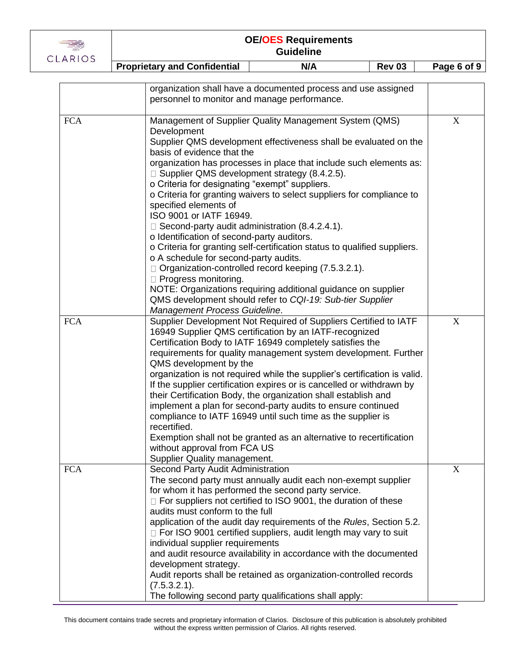

i.

## **OE/OES Requirements Guideline**

**Proprietary and Confidential N/A Rev 03 Page 6 of 9** 

|            | organization shall have a documented process and use assigned<br>personnel to monitor and manage performance.                                                                                                                                                                                                                                                                                                                                                                                                                                                                                                                                                                                                                                                                                                                                                                                                                                                                |             |
|------------|------------------------------------------------------------------------------------------------------------------------------------------------------------------------------------------------------------------------------------------------------------------------------------------------------------------------------------------------------------------------------------------------------------------------------------------------------------------------------------------------------------------------------------------------------------------------------------------------------------------------------------------------------------------------------------------------------------------------------------------------------------------------------------------------------------------------------------------------------------------------------------------------------------------------------------------------------------------------------|-------------|
| <b>FCA</b> | Management of Supplier Quality Management System (QMS)<br>Development<br>Supplier QMS development effectiveness shall be evaluated on the<br>basis of evidence that the<br>organization has processes in place that include such elements as:<br>$\Box$ Supplier QMS development strategy (8.4.2.5).<br>o Criteria for designating "exempt" suppliers.<br>o Criteria for granting waivers to select suppliers for compliance to<br>specified elements of<br>ISO 9001 or IATF 16949.<br>$\Box$ Second-party audit administration (8.4.2.4.1).<br>o Identification of second-party auditors.<br>o Criteria for granting self-certification status to qualified suppliers.<br>o A schedule for second-party audits.<br>$\Box$ Organization-controlled record keeping (7.5.3.2.1).<br>$\Box$ Progress monitoring.<br>NOTE: Organizations requiring additional guidance on supplier<br>QMS development should refer to CQI-19: Sub-tier Supplier<br>Management Process Guideline. | X           |
| <b>FCA</b> | Supplier Development Not Required of Suppliers Certified to IATF<br>16949 Supplier QMS certification by an IATF-recognized<br>Certification Body to IATF 16949 completely satisfies the<br>requirements for quality management system development. Further<br>QMS development by the<br>organization is not required while the supplier's certification is valid.<br>If the supplier certification expires or is cancelled or withdrawn by<br>their Certification Body, the organization shall establish and<br>implement a plan for second-party audits to ensure continued<br>compliance to IATF 16949 until such time as the supplier is<br>recertified.<br>Exemption shall not be granted as an alternative to recertification<br>without approval from FCA US<br>Supplier Quality management.                                                                                                                                                                           | $\mathbf X$ |
| <b>FCA</b> | Second Party Audit Administration<br>The second party must annually audit each non-exempt supplier<br>for whom it has performed the second party service.<br>$\Box$ For suppliers not certified to ISO 9001, the duration of these<br>audits must conform to the full<br>application of the audit day requirements of the Rules, Section 5.2.<br>□ For ISO 9001 certified suppliers, audit length may vary to suit<br>individual supplier requirements<br>and audit resource availability in accordance with the documented<br>development strategy.<br>Audit reports shall be retained as organization-controlled records<br>(7.5.3.2.1).<br>The following second party qualifications shall apply:                                                                                                                                                                                                                                                                         | X           |

This document contains trade secrets and proprietary information of Clarios. Disclosure of this publication is absolutely prohibited without the express written permission of Clarios. All rights reserved.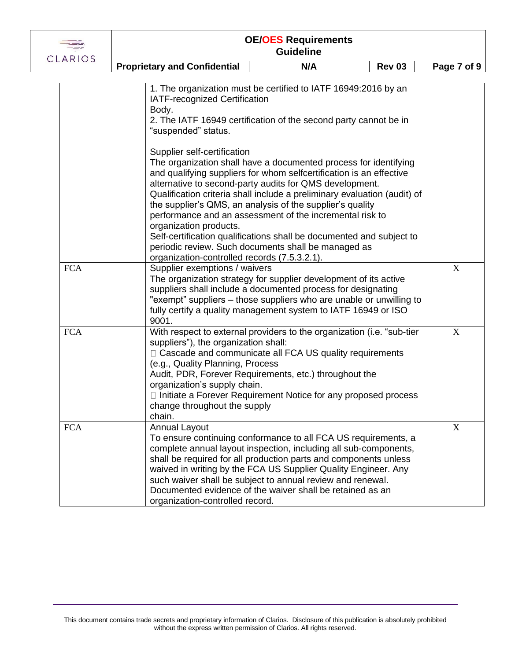| ARIO<br>╰ |  |
|-----------|--|

| LANIUJ     | <b>Proprietary and Confidential</b>                                                                                                                | N/A                                                                                                                                                                                                                                                                                                                                                                                                                                                                                                                                    | <b>Rev 03</b> | Page 7 of 9 |
|------------|----------------------------------------------------------------------------------------------------------------------------------------------------|----------------------------------------------------------------------------------------------------------------------------------------------------------------------------------------------------------------------------------------------------------------------------------------------------------------------------------------------------------------------------------------------------------------------------------------------------------------------------------------------------------------------------------------|---------------|-------------|
|            |                                                                                                                                                    |                                                                                                                                                                                                                                                                                                                                                                                                                                                                                                                                        |               |             |
|            | IATF-recognized Certification<br>Body.<br>"suspended" status.                                                                                      | 1. The organization must be certified to IATF 16949:2016 by an<br>2. The IATF 16949 certification of the second party cannot be in                                                                                                                                                                                                                                                                                                                                                                                                     |               |             |
|            | Supplier self-certification<br>organization products.<br>organization-controlled records (7.5.3.2.1).                                              | The organization shall have a documented process for identifying<br>and qualifying suppliers for whom selfcertification is an effective<br>alternative to second-party audits for QMS development.<br>Qualification criteria shall include a preliminary evaluation (audit) of<br>the supplier's QMS, an analysis of the supplier's quality<br>performance and an assessment of the incremental risk to<br>Self-certification qualifications shall be documented and subject to<br>periodic review. Such documents shall be managed as |               |             |
| <b>FCA</b> | Supplier exemptions / waivers<br>9001.                                                                                                             | The organization strategy for supplier development of its active<br>suppliers shall include a documented process for designating<br>"exempt" suppliers - those suppliers who are unable or unwilling to<br>fully certify a quality management system to IATF 16949 or ISO                                                                                                                                                                                                                                                              |               | X           |
| <b>FCA</b> | suppliers"), the organization shall:<br>(e.g., Quality Planning, Process<br>organization's supply chain.<br>change throughout the supply<br>chain. | With respect to external providers to the organization (i.e. "sub-tier<br>□ Cascade and communicate all FCA US quality requirements<br>Audit, PDR, Forever Requirements, etc.) throughout the<br>□ Initiate a Forever Requirement Notice for any proposed process                                                                                                                                                                                                                                                                      |               | X           |
| <b>FCA</b> | <b>Annual Layout</b><br>organization-controlled record.                                                                                            | To ensure continuing conformance to all FCA US requirements, a<br>complete annual layout inspection, including all sub-components,<br>shall be required for all production parts and components unless<br>waived in writing by the FCA US Supplier Quality Engineer. Any<br>such waiver shall be subject to annual review and renewal.<br>Documented evidence of the waiver shall be retained as an                                                                                                                                    |               | X           |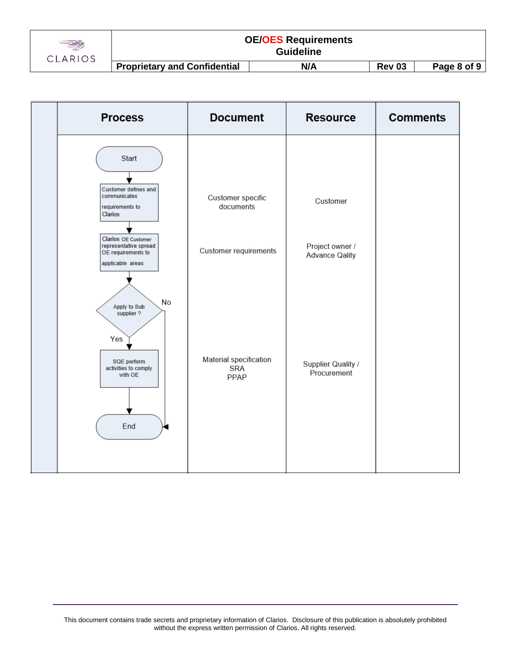

| <b>Process</b>                                                                                  | <b>Document</b>                       | <b>Resource</b>                          | <b>Comments</b> |
|-------------------------------------------------------------------------------------------------|---------------------------------------|------------------------------------------|-----------------|
| Start                                                                                           |                                       |                                          |                 |
| Customer defines and<br>communicates<br>requirements to<br>Clarios                              | Customer specific<br>documents        | Customer                                 |                 |
| Clarios OE Customer<br>representative spread<br>OE requirements to<br>applicable areas          | Customer requirements                 | Project owner /<br><b>Advance Qality</b> |                 |
| No<br>Apply to Sub<br>supplier?<br>Yes<br>SQE perform<br>activities to comply<br>with OE<br>End | Material specification<br>SRA<br>PPAP | Supplier Quality /<br>Procurement        |                 |